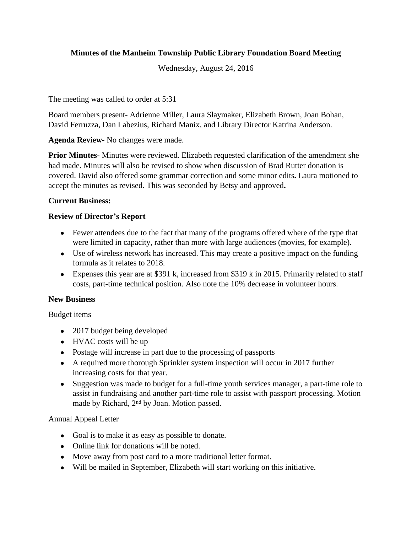# **Minutes of the Manheim Township Public Library Foundation Board Meeting**

Wednesday, August 24, 2016

The meeting was called to order at 5:31

Board members present- Adrienne Miller, Laura Slaymaker, Elizabeth Brown, Joan Bohan, David Ferruzza, Dan Labezius, Richard Manix, and Library Director Katrina Anderson.

**Agenda Review**- No changes were made.

**Prior Minutes-** Minutes were reviewed. Elizabeth requested clarification of the amendment she had made. Minutes will also be revised to show when discussion of Brad Rutter donation is covered. David also offered some grammar correction and some minor edits**.** Laura motioned to accept the minutes as revised. This was seconded by Betsy and approved**.**

## **Current Business:**

## **Review of Director's Report**

- Fewer attendees due to the fact that many of the programs offered where of the type that were limited in capacity, rather than more with large audiences (movies, for example).
- Use of wireless network has increased. This may create a positive impact on the funding formula as it relates to 2018.
- Expenses this year are at \$391 k, increased from \$319 k in 2015. Primarily related to staff costs, part-time technical position. Also note the 10% decrease in volunteer hours.

## **New Business**

Budget items

- 2017 budget being developed
- HVAC costs will be up
- Postage will increase in part due to the processing of passports
- A required more thorough Sprinkler system inspection will occur in 2017 further increasing costs for that year.
- Suggestion was made to budget for a full-time youth services manager, a part-time role to assist in fundraising and another part-time role to assist with passport processing. Motion made by Richard, 2nd by Joan. Motion passed.

## Annual Appeal Letter

- Goal is to make it as easy as possible to donate.
- Online link for donations will be noted.
- Move away from post card to a more traditional letter format.
- Will be mailed in September, Elizabeth will start working on this initiative.